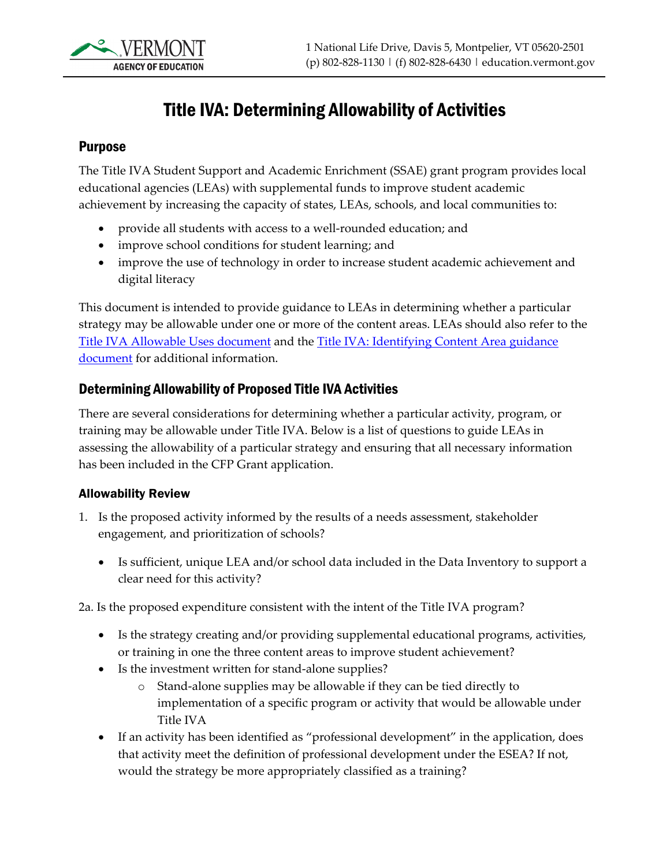## Title IVA: Determining Allowability of Activities

## Purpose

The Title IVA Student Support and Academic Enrichment (SSAE) grant program provides local educational agencies (LEAs) with supplemental funds to improve student academic achievement by increasing the capacity of states, LEAs, schools, and local communities to:

- provide all students with access to a well-rounded education; and
- improve school conditions for student learning; and
- improve the use of technology in order to increase student academic achievement and digital literacy

This document is intended to provide guidance to LEAs in determining whether a particular strategy may be allowable under one or more of the content areas. LEAs should also refer to the [Title IVA Allowable Uses document](https://education.vermont.gov/sites/aoe/files/documents/edu-cfp-title-iv-allowable-uses.pdf) and the Title IVA: Identifying [Content Area guidance](https://education.vermont.gov/documents/edu-cfp-title-iva-identifying-content-area)  [document](https://education.vermont.gov/documents/edu-cfp-title-iva-identifying-content-area) for additional information.

## Determining Allowability of Proposed Title IVA Activities

There are several considerations for determining whether a particular activity, program, or training may be allowable under Title IVA. Below is a list of questions to guide LEAs in assessing the allowability of a particular strategy and ensuring that all necessary information has been included in the CFP Grant application.

## Allowability Review

- 1. Is the proposed activity informed by the results of a needs assessment, stakeholder engagement, and prioritization of schools?
	- Is sufficient, unique LEA and/or school data included in the Data Inventory to support a clear need for this activity?

2a. Is the proposed expenditure consistent with the intent of the Title IVA program?

- Is the strategy creating and/or providing supplemental educational programs, activities, or training in one the three content areas to improve student achievement?
- Is the investment written for stand-alone supplies?
	- o Stand-alone supplies may be allowable if they can be tied directly to implementation of a specific program or activity that would be allowable under Title IVA
- If an activity has been identified as "professional development" in the application, does that activity meet the definition of professional development under the ESEA? If not, would the strategy be more appropriately classified as a training?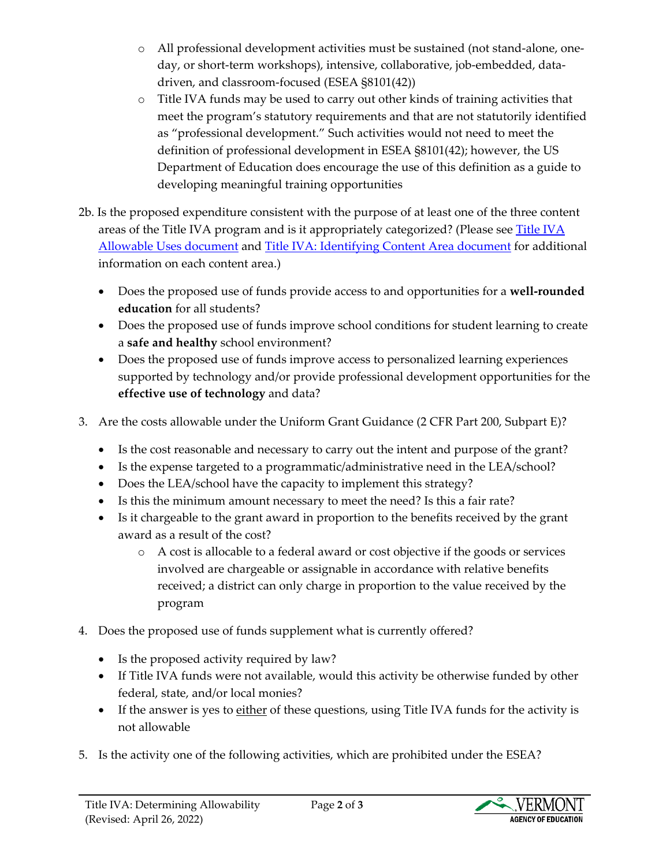- o All professional development activities must be sustained (not stand-alone, oneday, or short-term workshops), intensive, collaborative, job-embedded, datadriven, and classroom-focused (ESEA §8101(42))
- o Title IVA funds may be used to carry out other kinds of training activities that meet the program's statutory requirements and that are not statutorily identified as "professional development." Such activities would not need to meet the definition of professional development in ESEA §8101(42); however, the US Department of Education does encourage the use of this definition as a guide to developing meaningful training opportunities
- 2b. Is the proposed expenditure consistent with the purpose of at least one of the three content areas of the [Title IVA](https://education.vermont.gov/sites/aoe/files/documents/edu-cfp-title-iv-allowable-uses.pdf) program and is it appropriately categorized? (Please see Title IVA [Allowable Uses document](https://education.vermont.gov/sites/aoe/files/documents/edu-cfp-title-iv-allowable-uses.pdf) and [Title IVA: Identifying Content Area document](https://education.vermont.gov/documents/edu-cfp-title-iva-identifying-content-area) for additional information on each content area.)
	- Does the proposed use of funds provide access to and opportunities for a **well-rounded education** for all students?
	- Does the proposed use of funds improve school conditions for student learning to create a **safe and healthy** school environment?
	- Does the proposed use of funds improve access to personalized learning experiences supported by technology and/or provide professional development opportunities for the **effective use of technology** and data?
- 3. Are the costs allowable under the Uniform Grant Guidance (2 CFR Part 200, Subpart E)?
	- Is the cost reasonable and necessary to carry out the intent and purpose of the grant?
	- Is the expense targeted to a programmatic/administrative need in the LEA/school?
	- Does the LEA/school have the capacity to implement this strategy?
	- Is this the minimum amount necessary to meet the need? Is this a fair rate?
	- Is it chargeable to the grant award in proportion to the benefits received by the grant award as a result of the cost?
		- o A cost is allocable to a federal award or cost objective if the goods or services involved are chargeable or assignable in accordance with relative benefits received; a district can only charge in proportion to the value received by the program
- 4. Does the proposed use of funds supplement what is currently offered?
	- Is the proposed activity required by law?
	- If Title IVA funds were not available, would this activity be otherwise funded by other federal, state, and/or local monies?
	- If the answer is yes to either of these questions, using Title IVA funds for the activity is not allowable
- 5. Is the activity one of the following activities, which are prohibited under the ESEA?